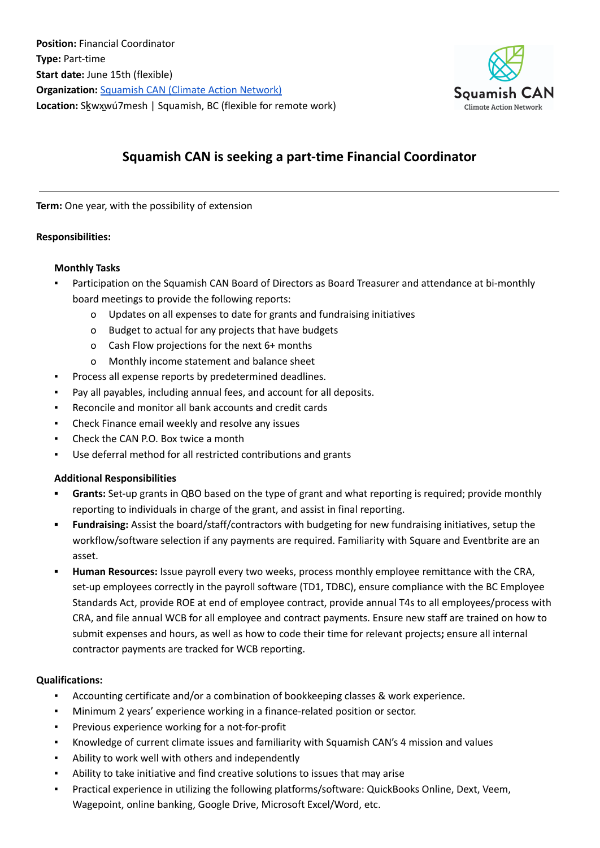

# **Squamish CAN is seeking a part-time Financial Coordinator**

**Term:** One year, with the possibility of extension

#### **Responsibilities:**

#### **Monthly Tasks**

- Participation on the Squamish CAN Board of Directors as Board Treasurer and attendance at bi-monthly board meetings to provide the following reports:
	- o Updates on all expenses to date for grants and fundraising initiatives
	- o Budget to actual for any projects that have budgets
	- o Cash Flow projections for the next 6+ months
	- o Monthly income statement and balance sheet
- Process all expense reports by predetermined deadlines.
- Pay all payables, including annual fees, and account for all deposits.
- Reconcile and monitor all bank accounts and credit cards
- Check Finance email weekly and resolve any issues
- Check the CAN P.O. Box twice a month
- Use deferral method for all restricted contributions and grants

# **Additional Responsibilities**

- **▪ Grants:** Set-up grants in QBO based on the type of grant and what reporting is required; provide monthly reporting to individuals in charge of the grant, and assist in final reporting.
- **▪ Fundraising:** Assist the board/staff/contractors with budgeting for new fundraising initiatives, setup the workflow/software selection if any payments are required. Familiarity with Square and Eventbrite are an asset.
- **▪ Human Resources:** Issue payroll every two weeks, process monthly employee remittance with the CRA, set-up employees correctly in the payroll software (TD1, TDBC), ensure compliance with the BC Employee Standards Act, provide ROE at end of employee contract, provide annual T4s to all employees/process with CRA, and file annual WCB for all employee and contract payments. Ensure new staff are trained on how to submit expenses and hours, as well as how to code their time for relevant projects**;** ensure all internal contractor payments are tracked for WCB reporting.

# **Qualifications:**

- Accounting certificate and/or a combination of bookkeeping classes & work experience.
- Minimum 2 years' experience working in a finance-related position or sector.
- Previous experience working for a not-for-profit
- Knowledge of current climate issues and familiarity with Squamish CAN's 4 mission and values
- Ability to work well with others and independently
- Ability to take initiative and find creative solutions to issues that may arise
- Practical experience in utilizing the following platforms/software: QuickBooks Online, Dext, Veem, Wagepoint, online banking, Google Drive, Microsoft Excel/Word, etc.